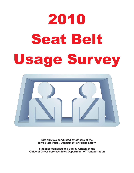# 2010 **Seat Belt** Seat Belti Belti Belti Belti Belti Belti Belti Belti Belti Belti Belti Belti Belti Belti Belti Belti Belti Be<br>Seat Belti Belti Belti Belti Belti Belti Belti Belti Belti Belti Belti Belti Belti Belti Belti Belti Belti Bel



**Site surveys conducted by officers of the Iowa State Patrol, Department of Public Safety**

**Statistics compiled and survey written by the Office of Driver Services, Iowa Department of Transportation**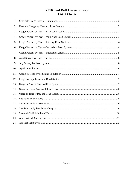## 2010 Seat Belt Usage Survey List of Charts

| 1.  |  |
|-----|--|
| 2.  |  |
| 3.  |  |
| 4.  |  |
| 5.  |  |
| 6.  |  |
| 7.  |  |
| 8.  |  |
| 9.  |  |
| 10. |  |
| 11. |  |
| 12. |  |
| 13. |  |
| 14. |  |
| 15. |  |
| 16. |  |
| 17. |  |
| 18. |  |
| 19. |  |
| 20. |  |
| 21. |  |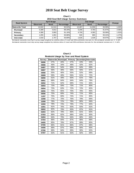## **2010 Sat Belt Usage Survey 2010 Seat Belt Usage Survey**

**Chart 1 2010 Seat Belt Usage Survey--Summary**

|                    |                 | April Usage |            |                 |             |            |          |
|--------------------|-----------------|-------------|------------|-----------------|-------------|------------|----------|
| <b>Road System</b> | <b>Observed</b> | <b>Used</b> | Percentage | <b>Observed</b> | <b>Used</b> | Percentage | Change   |
| l Statewide Total  | 12.642          | 11.513      | 92.04%     | 12.467          | 11.559      | 93.09%     | 1.04%    |
| <b>Municipal</b>   | 5.389           | 4.812       | 89.29%     | 5.206           | 4.783       | 91.87%     | 2.58%    |
| Primary            | 4.380           | 3.993       | 91.16%     | 4.709           | 4.383       | 93.08%     | 1.91%    |
| Secondary          | 1.055           | 1.001       | 94.88%     | 926             | 865         | 93.41%     | $-1.47%$ |
| <b>Interstate</b>  | 1.818           | 1.707       | 93.89%     | 1.626           | 1.528       | 93.97%     | 0.08%    |

Estimated statewide total July survey usage weighted by vehicles miles of travel and 95% confidence intervals for the estimated variance are +/- 0.14% **Estimated statewide total April survey usage weighted by vehicles miles of travel and 95% confidence intervals for the estimated variance are +/- 0.14%** 

| Restraint Usage by Year and Road System |     |                     |         |                             |     |  |  |
|-----------------------------------------|-----|---------------------|---------|-----------------------------|-----|--|--|
| Survey                                  |     | Statewide Municipal | Primary | <b>Secondary Interstate</b> |     |  |  |
| 06/86                                   | 27% | 20%                 | 27%     | 24%                         | 43% |  |  |
| 09/86                                   | 46% | 34%                 | 48%     | 42%                         | 62% |  |  |
| 04/87                                   | 63% | 54%                 | 65%     | 64%                         | 69% |  |  |
| 09/87                                   | 56% | 48%                 | 56%     | 55%                         | 67% |  |  |
| 09/88                                   | 55% | 46%                 | 55%     | 52%                         | 69% |  |  |
| 09/89                                   | 59% | 49%                 | 56%     | 61%                         | 72% |  |  |
| 09/90                                   | 61% | 49%                 | 60%     | 61%                         | 76% |  |  |
| 09/91                                   | 68% | 64%                 | 64%     | 64%                         | 79% |  |  |
| 09/92                                   | 71% | 62%                 | 69%     | 71%                         | 83% |  |  |
| 09/93                                   | 73% | 59%                 | 73%     | 71%                         | 80% |  |  |
| 09/94                                   | 73% | 63%                 | 72%     | 72%                         | 82% |  |  |
| 09/95                                   | 75% | 65%                 | 75%     | 76%                         | 85% |  |  |
| 09/96                                   | 75% | 69%                 | 74%     | 71%                         | 85% |  |  |
| 11/97                                   | 75% | 69%                 | 74%     | 71%                         | 85% |  |  |
| 10/98                                   | 77% | 70%                 | 76%     | 79%                         | 84% |  |  |
| 10/99                                   | 78% | 72%                 | 78%     | 80%                         | 84% |  |  |
| 10/00                                   | 78% | 73%                 | 79%     | 77%                         | 82% |  |  |
| 10/01                                   | 81% | 76%                 | 83%     | 83%                         | 81% |  |  |
| 09/02                                   | 82% | 79%                 | 83%     | 87%                         | 81% |  |  |
| 03/03                                   | 82% | 78%                 | 86%     | 81%                         | 82% |  |  |
| 07/03                                   | 86% | 82%                 | 88%     | 83%                         | 90% |  |  |
| 04/04                                   | 84% | 79%                 | 84%     | 88%                         | 84% |  |  |
| 07/04                                   | 86% | 84%                 | 87%     | 86%                         | 88% |  |  |
| 04/05                                   | 85% | 78%                 | 87%     | 89%                         | 85% |  |  |
| 07/05                                   | 86% | 81%                 | 86%     | 87%                         | 88% |  |  |
| 04/06                                   | 89% | 87%                 | 89%     | 90%                         | 90% |  |  |
| 07/06                                   | 89% | 84%                 | 89%     | 90%                         | 92% |  |  |
| 07/07                                   | 92% | 91%                 | 92%     | 92%                         | 94% |  |  |

**Chart 2 Restraint Usage by Year and Road System**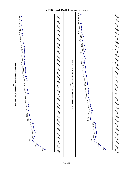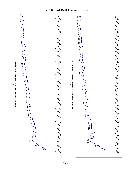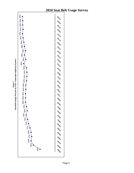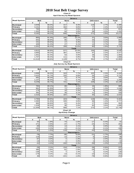**Chart 8 April Survey by Road System**

|                    | <b>Drivers</b>    |       |                 |              |                |      |        |  |  |
|--------------------|-------------------|-------|-----------------|--------------|----------------|------|--------|--|--|
| <b>Road System</b> | <b>Belt</b>       |       | <b>None</b>     |              | <b>Unknown</b> |      | Total  |  |  |
|                    | #                 | %     | #               | %            | #              | %    | #      |  |  |
| <b>Municipal</b>   | 3,949             | 88.0% | 417             | 9.3%         | 119            | 2.7% | 4,485  |  |  |
| Primary            | 3,151             | 89.3% | 302             | 8.6%         | 77             | 2.2% | 3,530  |  |  |
| Secondary          | 760               | 93.4% | 37              | 4.5%         | 17             | 2.1% | 814    |  |  |
| Interstate         | ,302              | 90.2% | 84              | 5.8%         | 58             | 4.0% | 1,444  |  |  |
| Total              | 9,162             | 89.2% | 840             | 8.2%         | 271            | 2.6% | 10,273 |  |  |
|                    | <b>Passengers</b> |       |                 |              |                |      |        |  |  |
| Municipal          | 863               | 81.4% | 160             | 15.1%        | 37             | 3.5% | 1,060  |  |  |
| Primary            | 842               | 88.9% | 85              | 9.0%         | 20             | 2.1% | 947    |  |  |
| Secondary          | 241               | 89.6% | 17              | 6.3%         | 11             | 4.1% | 269    |  |  |
| Interstate         | 405               | 91.2% | $\overline{27}$ | 6.1%         | 12             | 2.7% | 444    |  |  |
| Total              | 2,351             | 86.4% | 289             | 10.6%        | 80             | 2.9% | 2,720  |  |  |
|                    |                   |       |                 | <b>Total</b> |                |      |        |  |  |
| <b>Municipal</b>   | 4,812             | 86.8% | 577             | 10.4%        | 156            | 2.8% | 5,545  |  |  |
| Primary            | 3,993             | 89.2% | 387             | 8.6%         | 97             | 2.2% | 4,477  |  |  |
| Secondary          | 1,001             | 92.4% | 54              | 5.0%         | 28             | 2.6% | 1,083  |  |  |
| Interstate         | 1,707             | 90.4% | 111             | 5.9%         | 70             | 3.7% | 1,888  |  |  |
| Total              | 11,513            | 88.6% | 1,129           | 8.7%         | 351            | 2.7% | 12,993 |  |  |

#### **Chart 9**

**July Survey by Road System**

|                    | <b>Drivers</b>    |       |             |              |                |      |              |  |  |
|--------------------|-------------------|-------|-------------|--------------|----------------|------|--------------|--|--|
| <b>Road System</b> | <b>Belt</b>       |       | <b>None</b> |              | <b>Unknown</b> |      | <b>Total</b> |  |  |
|                    | #                 | %     | #           | $\%$         | #              | %    | #            |  |  |
| Municipal          | 3,999             | 90.0% | 343         | 7.7%         | 102            | 2.3% | 4,444        |  |  |
| Primary            | 3,422             | 91.7% | 255         | 6.8%         | 54             | 1.4% | 3,731        |  |  |
| Secondary          | 691               | 90.3% | 51          | 6.7%         | 23             | 3.0% | 765          |  |  |
| Interstate         | 1,137             | 90.4% | 72          | 5.7%         | 49             | 3.9% | 1,258        |  |  |
| Total              | 9,249             | 90.7% | 721         | 7.1%         | 228            | 2.2% | 10,198       |  |  |
|                    | <b>Passengers</b> |       |             |              |                |      |              |  |  |
| Municipal          | 784               | 89.1% | 80          | 9.1%         | 16             | 1.8% | 880          |  |  |
| Primary            | 961               | 91.9% | 71          | 6.8%         | 14             | 1.3% | 1,046        |  |  |
| Secondary          | 174               | 92.6% | 10          | 5.3%         |                | 2.1% | 188          |  |  |
| Interstate         | 391               | 91.4% | 26          | 6.1%         | 11             | 2.6% | 428          |  |  |
| Total              | 2,310             | 90.9% | 187         | 7.4%         | 45             | 1.8% | 2,542        |  |  |
|                    |                   |       |             | <b>Total</b> |                |      |              |  |  |
| Municipal          | 4,783             | 89.8% | 423         | 7.9%         | 118            | 2.2% | 5,324        |  |  |
| Primary            | 4,383             | 91.8% | 326         | 6.8%         | 68             | 1.4% | 4,777        |  |  |
| Secondary          | 865               | 90.8% | 61          | 6.4%         | 27             | 2.8% | 953          |  |  |
| Interstate         | 1,528             | 90.6% | 98          | 5.8%         | 60             | 3.6% | 1,686        |  |  |
| Total              | 11,559            | 90.7% | 908         | 7.1%         | 273            | 2.1% | 12,740       |  |  |

#### **Chart 10 April/July Change**

|                    | <b>Drivers</b>    |         |             |              |                |         |        |  |  |
|--------------------|-------------------|---------|-------------|--------------|----------------|---------|--------|--|--|
| <b>Road System</b> | <b>Belt</b>       |         | <b>None</b> |              | <b>Unknown</b> |         | Total  |  |  |
|                    | #                 | %       | #           | %            | #              | %       | #      |  |  |
| <b>Municipal</b>   | 50                | 1.9%    | $-74$       | $-1.6%$      | $-17$          | $-0.4%$ | $-41$  |  |  |
| Primary            | 271               | 2.5%    | $-47$       | $-1.7%$      | $-23$          | $-0.7%$ | 201    |  |  |
| Secondary          | $-69$             | $-3.0%$ | 14          | 2.1%         | 6              | 0.9%    | $-49$  |  |  |
| Interstate         | $-165$            | 0.2%    | $-12$       | $-0.1%$      | $-9$           | $-0.1%$ | $-186$ |  |  |
| Total              | 87                | 1.5%    | $-119$      | $-1.1%$      | $-43$          | $-0.4%$ | $-75$  |  |  |
|                    | <b>Passengers</b> |         |             |              |                |         |        |  |  |
| <b>Municipal</b>   | $-79$             | 7.7%    | -80         | $-6.0%$      | $-21$          | $-1.7%$ | $-180$ |  |  |
| Primary            | 119               | 3.0%    | $-14$       | $-2.2%$      | $-6$           | $-0.8%$ | 99     |  |  |
| Secondary          | $-67$             | 3.0%    | $-7$        | $-1.0%$      | $-7$           | $-2.0%$ | $-81$  |  |  |
| Interstate         | $-14$             | 0.1%    | $-1$        | 0.0%         | $-1$           | $-0.1%$ | $-16$  |  |  |
| Total              | $-41$             | 4.4%    | $-102$      | $-3.3%$      | $-35$          | $-1.2%$ | $-178$ |  |  |
|                    |                   |         |             | <b>Total</b> |                |         |        |  |  |
| <b>Municipal</b>   | $-29$             | 3.1%    | $-154$      | $-2.5%$      | $-38$          | $-0.6%$ | $-221$ |  |  |
| Primary            | 390               | 2.6%    | $-61$       | $-1.8%$      | $-29$          | $-0.7%$ | 300    |  |  |
| <b>Secondary</b>   | $-136$            | $-1.7%$ |             | 1.4%         | $-1$           | 0.2%    | $-130$ |  |  |
| Interstate         | $-179$            | 0.2%    | $-13$       | $-0.1%$      | $-10$          | $-0.1%$ | $-202$ |  |  |
| Total              | 46                | 2.1%    | $-221$      | $-1.6%$      | $-78$          | $-0.6%$ | $-253$ |  |  |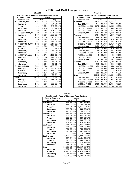|              | Chart 11                                      |        |              |        |              |  |  |  |
|--------------|-----------------------------------------------|--------|--------------|--------|--------------|--|--|--|
|              | Seat Belt Usage by Road System and Population |        |              |        |              |  |  |  |
|              | <b>Population and</b>                         |        | <b>Usage</b> |        |              |  |  |  |
|              | <b>Road System</b>                            |        | April        | July   |              |  |  |  |
| A            | Over 200,000                                  | 1,852  | 89.00%       |        | 1,888 91.69% |  |  |  |
|              | <b>Municipal</b>                              | 667    | 87.65%       | 764    | 91.28%       |  |  |  |
|              | Primary                                       | 541    | 87.26%       | 545    | 93.32%       |  |  |  |
|              | Secondary                                     | 75     | 96.15%       | 36     | 97.30%       |  |  |  |
|              | <b>Interstate</b>                             | 569    | 91.48%       | 543    | 90.35%       |  |  |  |
| в            | 150,000 TO 199,999                            | 3.489  | 94.04%       | 2.921  | 95.96%       |  |  |  |
|              | <b>Municipal</b>                              | 1,370  | 92.51%       | 1,085  | 95.09%       |  |  |  |
|              | Primary                                       | 1,026  | 94.56%       | 1,075  | 95.56%       |  |  |  |
|              | Secondary                                     | 440    | 94.83%       | 303    | 96.81%       |  |  |  |
|              | <b>Interstate</b>                             | 653    | 96.03%       | 458    | 98.49%       |  |  |  |
| C            | 75,000 TO 149,999                             | 1,332  | 92.56%       | 1,517  | 93.24%       |  |  |  |
|              | <b>Municipal</b>                              | 532    | 89.71%       | 564    | 93.84%       |  |  |  |
|              | Primary                                       | 429    | 93.87%       | 535    | 91.30%       |  |  |  |
|              | Secondary                                     | 49     | 98.00%       | 58     | 96.67%       |  |  |  |
|              | <b>Interstate</b>                             | 322    | 94.99%       | 360    | 94.74%       |  |  |  |
| D            | 25,000 TO 74,999                              | 1.981  | 91.67%       | 2.133  | 92.10%       |  |  |  |
|              | <b>Municipal</b>                              | 981    | 89.59%       | 922    | 89.78%       |  |  |  |
|              | Primary                                       | 739    | 94.14%       | 872    | 94.89%       |  |  |  |
|              | Secondary                                     | 221    | 93.64%       | 267    | 91.75%       |  |  |  |
|              | <b>Interstate</b>                             | 40     | 88.89%       | 72     | 91.14%       |  |  |  |
| Ē            | <b>Under 25,000</b>                           | 2,859  | 87.94%       | 3,100  | 90.62%       |  |  |  |
|              | <b>Municipal</b>                              | 1,262  | 86.50%       | 1.448  | 90.50%       |  |  |  |
|              | Primary                                       | 1,258  | 87.79%       | 1.356  | 90.70%       |  |  |  |
|              | Secondary                                     | 216    | 95.15%       | 201    | 89.33%       |  |  |  |
|              | <b>Interstate</b>                             | 123    | 93.18%       | 95     | 94.06%       |  |  |  |
| <b>Total</b> |                                               | 11.513 | 91.07%       | 11.559 | 92.72%       |  |  |  |
|              | <b>Municipal</b>                              | 4,812  | 89.29%       | 4,783  | 91.87%       |  |  |  |
|              | Primary                                       | 3,993  | 91.16%       | 4,383  | 93.08%       |  |  |  |
|              | Secondary                                     | 1,001  | 94.88%       | 865    | 93.41%       |  |  |  |
|              | <b>Interstate</b>                             | 1,707  | 93.89%       | 1,528  | 93.97%       |  |  |  |

| 0                                             | Chart 12 |         |        |        |  |  |  |
|-----------------------------------------------|----------|---------|--------|--------|--|--|--|
| Seat Belt Usage by Population and Road System |          |         |        |        |  |  |  |
| <b>Population and</b>                         |          | Usage   |        |        |  |  |  |
| <b>Road System</b>                            |          | April   |        | July   |  |  |  |
| <b>Municipal</b>                              | 4.634    | 123.64% | 4.766  |        |  |  |  |
| Over 200,000                                  | 947      | 88.75%  | 836    | 89.51% |  |  |  |
| 150,000 to 199,999                            | 1,370    | 92.51%  | 1,085  | 95.09% |  |  |  |
| 75,000 to 149,999                             | 532      | 89.71%  | 564    | 93.84% |  |  |  |
| 25,000 to 74,999                              | 523      | 86.16%  | 833    | 90.05% |  |  |  |
| <b>Under 25,000</b>                           | 1,262    | 86.50%  | 1,448  | 90.50% |  |  |  |
| Primary                                       | 3,924    | 91.38%  | 4,250  | 93.20% |  |  |  |
| Over 200,000                                  | 406      | 87.69%  | 271    | 94.43% |  |  |  |
| 150,000 to 199,999                            | 1,026    | 94.56%  | 1,075  | 95.56% |  |  |  |
| 75,000 to 149,999                             | 429      | 93.87%  | 535    | 91.30% |  |  |  |
| 25,000 to 74,999                              | 805      | 94.04%  | 1,013  | 94.94% |  |  |  |
| <b>Under 25,000</b>                           | 1,258    | 87.79%  | 1,356  | 90.70% |  |  |  |
| Secondary                                     | 1,248    | 94.33%  | 1,015  | 93.98% |  |  |  |
| Over 200,000                                  | 388      | 93.05%  | 327    | 96.46% |  |  |  |
| 150,000 to 199,999                            | 440      | 94.83%  | 303    | 96.81% |  |  |  |
| 75,000 to 149,999                             | 49       | 98.00%  | 58     | 96.67% |  |  |  |
| 25,000 to 74,999                              | 155      | 93.94%  | 126    | 88.11% |  |  |  |
| <b>Under 25,000</b>                           | 216      | 95.15%  | 201    | 89.33% |  |  |  |
| <b>Interstate</b>                             | 1,707    | 93.89%  | 1,528  | 93.97% |  |  |  |
| Over 200,000                                  | 569      | 91.48%  | 543    | 90.35% |  |  |  |
| 150,000 to 199,999                            | 653      | 96.03%  | 458    | 98.49% |  |  |  |
| 75,000 to 149,999                             | 322      | 94.99%  | 360    | 94.74% |  |  |  |
| 25,000 to 74,999                              | 40       | 88.89%  | 72     | 91.14% |  |  |  |
| <b>Under 25,000</b>                           | 123      | 93.18%  | 95     | 94.06% |  |  |  |
| Total                                         | 11,513   | 91.07%  | 11,559 | 92.72% |  |  |  |
| Over 200,000                                  | 2,310    | 89.92%  | 1,977  | 91.49% |  |  |  |
| 150,000 to 199,999                            | 3,489    | 94.04%  | 2,921  | 95.96% |  |  |  |
| 75,000 to 149,999                             | 1,332    | 92.56%  | 1,517  | 93.24% |  |  |  |
| 25,000 to 74,999                              | 1,523    | 91.03%  | 2,044  | 92.32% |  |  |  |
| <b>Under 25,000</b>                           | 2,859    | 87.94%  | 3,100  | 90.62% |  |  |  |

| Seat Usage by Area of State and Road System |       |               |        |              |  |  |  |
|---------------------------------------------|-------|---------------|--------|--------------|--|--|--|
| Area of State and                           |       | <b>Usage</b>  |        |              |  |  |  |
| <b>Road System</b>                          |       | April         | July   |              |  |  |  |
| <b>Northeast</b>                            |       | 3.119 92.36%  | 2.942  | 93.90%       |  |  |  |
| <b>Municipal</b>                            | 161   | 92.53%        | 165    | 95.93%       |  |  |  |
| Primary                                     |       | 1.203 91.41%  | 1,265  | 92.67%       |  |  |  |
| Secondary                                   | 337   | 91.58%        | 406    | 92.69%       |  |  |  |
| <b>Interstate</b>                           |       | 1.418 93.35%  |        | 1,106 95.51% |  |  |  |
| <b>Northwest</b>                            |       | 2,925 89.34%  | 2,824  | 91.19%       |  |  |  |
| <b>Municipal</b>                            | 302   | 96.49%        | 305    | 94.43%       |  |  |  |
| Primary                                     | 533   | 90.03%        | 440    | 89.61%       |  |  |  |
| Secondary                                   |       | 689 79.47%    | 606    | 85.11%       |  |  |  |
| <b>Interstate</b>                           | 1.401 | 93.28%        | 1.473  | 93.76%       |  |  |  |
| <b>Southeast</b>                            |       | 2,347 91.93%  | 2,365  | 93.85%       |  |  |  |
| <b>Municipal</b>                            | 771   | 90.39%        | 660    | 93.75%       |  |  |  |
| Primary                                     | 761   | 93.15%        | 763    | 96.58%       |  |  |  |
| Secondary                                   | 815   | 92.30%        | 942    | 91.81%       |  |  |  |
| <b>Interstate</b>                           | 0     | $0.00\%$      | 0      | $0.00\%$     |  |  |  |
| Southwest                                   | 3,122 | 90.81%        | 3,428  | 92.22%       |  |  |  |
| Municipal                                   | 967   | 94.43%        | 1.151  | 95.60%       |  |  |  |
| Primary                                     | 1.918 | 89.25%        | 1.948  | 90.44%       |  |  |  |
| Secondary                                   | 192   | 88.07%        | 274    | 91.95%       |  |  |  |
| <b>Interstate</b>                           | 45    | 95.74%        | 55     | 90.16%       |  |  |  |
| Total                                       |       | 11.513 91.07% | 11,559 | 92.72%       |  |  |  |
| Municipal                                   | 2.201 | 93.10%        | 2.281  | 94.92%       |  |  |  |
| Primary                                     | 4.415 | 90.58%        | 4.416  | 92.00%       |  |  |  |
| Secondary                                   |       | 2.033 87.03%  | 2.228  | 90.06%       |  |  |  |
| <b>Interstate</b>                           |       | 2,864 93.35%  | 2,634  | 94.41%       |  |  |  |

| Chart 13                                    |       |      |  |  |  |  |
|---------------------------------------------|-------|------|--|--|--|--|
| Seat Usage by Area of State and Road System |       |      |  |  |  |  |
| rea of State and                            | Usage |      |  |  |  |  |
| <b>Road System</b>                          | Anril | Julv |  |  |  |  |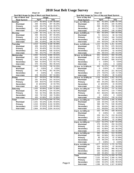|                                                | Chart 14 |         |        |        |  |  |  |
|------------------------------------------------|----------|---------|--------|--------|--|--|--|
| Seat Belt Usage by Day of Week and Road System |          |         |        |        |  |  |  |
| Day of Week and                                |          | Usage   |        |        |  |  |  |
| <b>Road System</b>                             |          | April   |        | July   |  |  |  |
| Sunday                                         | 1.973    | 90.46%  | 2.194  | 89.59% |  |  |  |
| <b>Municipal</b>                               | 293      | 92.43%  | 297    | 95.19% |  |  |  |
| Primary                                        | 1,428    | 89.47%  | 1,516  | 89.07% |  |  |  |
| Secondary                                      | 228      | 93.44%  | 355    | 87.65% |  |  |  |
| <b>Interstate</b>                              | 24       | 100.00% | 26     | 86.67% |  |  |  |
| Monday                                         | 1,398    | 90.72%  | 1,411  | 92.71% |  |  |  |
| <b>Municipal</b>                               | 430      | 96.41%  | 497    | 95.03% |  |  |  |
| Primary                                        | 179      | 96.76%  | 172    | 92.97% |  |  |  |
| Secondary                                      | 620      | 85.40%  | 544    | 89.92% |  |  |  |
| Interstate                                     | 169      | 91.85%  | 198    | 94.74% |  |  |  |
| Tuesday                                        | 2.013    | 91.04%  | 2.168  | 95.59% |  |  |  |
| <b>Municipal</b>                               | 406      | 94.42%  | 533    | 98.16% |  |  |  |
| Primary                                        | 273      | 90.40%  | 312    | 93.13% |  |  |  |
| Secondary                                      | 544      | 86.08%  | 546    | 93.81% |  |  |  |
| <b>Interstate</b>                              | 790      | 93.27%  | 777    | 96.16% |  |  |  |
| Wednesday                                      | 2,652    | 91.51%  | 2,666  | 93.51% |  |  |  |
| <b>Municipal</b>                               | 600      | 94.34%  | 589    | 92.46% |  |  |  |
| Primary                                        | 1,076    | 89.15%  | 1,152  | 93.35% |  |  |  |
| Secondary                                      | 406      | 91.65%  | 572    | 93.77% |  |  |  |
| <b>Interstate</b>                              | 570      | 93.14%  | 353    | 95.41% |  |  |  |
| Thursday                                       | 1,005    | 93.23%  | 748    | 92.23% |  |  |  |
| <b>Municipal</b>                               | 0        | 0.00%   | 0      | 0.00%  |  |  |  |
| Primary                                        | 546      | 91.76%  | 351    | 90.23% |  |  |  |
| Secondary                                      | 0        | 0.00%   | 0      | 0.00%  |  |  |  |
| Interstate                                     | 459      | 95.03%  | 397    | 94.08% |  |  |  |
| Friday                                         | 917      | 89.55%  | 788    | 93.59% |  |  |  |
| <b>Municipal</b>                               | 291      | 84.35%  | 241    | 94.51% |  |  |  |
| Primary                                        | 209      | 90.87%  | 218    | 93.56% |  |  |  |
| Secondary                                      | 15       | 100.00% | 18     | 94.74% |  |  |  |
| <b>Interstate</b>                              | 402      | 92.63%  | 311    | 92.84% |  |  |  |
| <b>Saturday</b>                                | 1,555    | 90.99%  | 1,584  | 91.88% |  |  |  |
| <b>Municipal</b>                               | 181      | 95.26%  | 124    | 93.23% |  |  |  |
| Primary                                        | 704      | 92.75%  | 695    | 96.26% |  |  |  |
| Secondary                                      | 220      | 79.71%  | 193    | 76.28% |  |  |  |
| <b>Interstate</b>                              | 450      | 92.98%  | 572    | 92.86% |  |  |  |
| Total                                          | 11,513   | 91.07%  | 11,559 | 92.72% |  |  |  |
| <b>Municipal</b>                               | 2,201    | 93.10%  | 2,281  | 94.92% |  |  |  |
| Primary                                        | 4,415    | 90.58%  | 4,416  | 92.00% |  |  |  |
| Secondary                                      | 2,033    | 87.03%  | 2,228  | 90.06% |  |  |  |
| Interstate                                     | 2,864    | 93.35%  | 2,634  | 94.41% |  |  |  |

| Seat Belt Usage by Time of Day and Road System | Chart 15 |                  |                      |  |  |  |  |
|------------------------------------------------|----------|------------------|----------------------|--|--|--|--|
| Time of Day and                                |          | Usage            |                      |  |  |  |  |
| <b>Road System</b>                             |          | April            | July                 |  |  |  |  |
| 7 a.m. to 7:59 a.m.                            | 861      | 91.40%           | 1,099<br>94.74%      |  |  |  |  |
| <b>Municipal</b>                               | 113      | 86.26%           | 184<br>91.09%        |  |  |  |  |
| Primary                                        | 598      | 92.00%           | 96.64%<br>748        |  |  |  |  |
| Secondary                                      | 26       | 86.67%           | 77.78%<br>21         |  |  |  |  |
| <b>Interstate</b>                              | 124      | 94.66%           | 146 92.99%           |  |  |  |  |
| 8 a.m. to 8:59 a.m.                            | 461      | 82.32%           | 500<br>84.75%        |  |  |  |  |
| <b>Municipal</b>                               | 72       | 93.51%           | 94.74%<br>90         |  |  |  |  |
| Primary                                        | 210      | 73.94%           | 184 76.03%           |  |  |  |  |
| Secondary                                      | 74       | 89.16%           | 93.62%<br>88         |  |  |  |  |
| <b>Interstate</b>                              | 105      | 90.52%           | 138 86.79%           |  |  |  |  |
| 9 a.m. to 9:59 a.m.                            | 1,215    | 92.19%           | 1,261<br>92.04%      |  |  |  |  |
| <b>Municipal</b>                               | 579      | 92.79%           | 676<br>90.01%        |  |  |  |  |
| Primary                                        | 213      | 92.61%           | 188<br>96.91%        |  |  |  |  |
| Secondary                                      | 77       | 100.00%          | 52<br>94.55%         |  |  |  |  |
| <b>Interstate</b>                              | 346      | 89.41%           | 93.24%<br>345        |  |  |  |  |
| 10 a.m. to 10:59 a.m.                          | 941      | 93.91%           | 94.14%<br>932        |  |  |  |  |
| <b>Municipal</b>                               | 367      | 92.44%           | 324<br>94.46%        |  |  |  |  |
| Primary                                        | 574      | 94.88%           | 93.97%<br>608        |  |  |  |  |
| Secondary                                      | 0        | $0.00\%$         | 0.00%<br>0           |  |  |  |  |
| <b>Interstate</b>                              | 0        | $0.00\%$         | 0.00%<br>0           |  |  |  |  |
|                                                | 463      | 81.37%           | 439                  |  |  |  |  |
| 11 a.m. to 11:59 a.m.                          | 0        | $0.00\%$         | 87.28%<br>0.00%<br>0 |  |  |  |  |
| <b>Municipal</b>                               |          |                  |                      |  |  |  |  |
| Primary                                        | 119      | 90.15%           | 96.51%<br>221        |  |  |  |  |
| Secondary                                      | 170      | 79.07%           | 128<br>72.73%        |  |  |  |  |
| Interstate                                     | 174      | 78.38%           | 90 91.84%            |  |  |  |  |
| 12 p.m. to 12:59 p.m.                          | 1,018    | 94.00%           | 1,002<br>95.07%      |  |  |  |  |
| <b>Municipal</b>                               | 88       | 97.78%           | 127<br>93.38%        |  |  |  |  |
| Primary                                        | 605      | 94.24%           | 569 95.15%           |  |  |  |  |
| Secondary                                      | 12       | 100.00%          | 83.33%<br>15         |  |  |  |  |
| <b>Interstate</b>                              | 313      | 92.33%           | 291<br>96.36%        |  |  |  |  |
| 1 p.m. to 1:59 p.m                             | 733      | 84.25%           | 737<br>91.33%        |  |  |  |  |
| <b>Municipal</b>                               | 91       | 60.67%           | 110<br>77.46%        |  |  |  |  |
| Primary                                        | 454      | 86.64%           | 95.58%<br>389        |  |  |  |  |
| Secondary                                      | 0        | $0.00\%$         | 0.00%<br>0           |  |  |  |  |
| Interstate                                     | 188      | 95.92%           | 92.25%<br>238        |  |  |  |  |
| 2 p.m. to 2:59 p.m                             | 1,530    | 91.67%           | 1,445<br>91.40%      |  |  |  |  |
| <b>Municipal</b>                               | 136      | 94.44%           | 135<br>95.74%        |  |  |  |  |
| Primary                                        | 588      | 89.77%           | 530 90.29%           |  |  |  |  |
| Secondary                                      | 391      | 95.83%           | 92.23%<br>368        |  |  |  |  |
| Interstate                                     | 415      | 89.83%           | 90.75%<br>412        |  |  |  |  |
| 3 p.m. to 3:59 p.m                             | 542      | 94.76%           | 96.91%<br>439        |  |  |  |  |
| <b>Municipal</b>                               | 0        | 0.00%            | $0.00\%$<br>0        |  |  |  |  |
| Primary                                        | 259      | 93.17%           | 219<br>95.22%        |  |  |  |  |
|                                                | 124      | 95.38%           | 123<br>99.19%        |  |  |  |  |
| Secondary                                      |          |                  | 97.98%               |  |  |  |  |
| Interstate                                     | 159      | 96.95%<br>91.47% | 97                   |  |  |  |  |
| 4 p.m. to 4:59 p.m                             | 1,512    |                  | 1,467<br>93.14%      |  |  |  |  |
| <b>Municipal</b>                               | 279      | 93.00%           | 294<br>94.23%        |  |  |  |  |
| Primary                                        | 419      | 91.29%           | 413<br>90.77%        |  |  |  |  |
| Secondary                                      | 542      | 91.86%           | 341<br>96.33%        |  |  |  |  |
| Interstate                                     | 272      | 89.47%           | 92.29%<br>419        |  |  |  |  |
| 5 p.m. to 5:59 p.m                             | 560      | 93.49%           | 513<br>94.30%        |  |  |  |  |
| <b>Municipal</b>                               | 362      | 92.58%           | 92.65%<br>353        |  |  |  |  |
| Primary                                        | 96       | 94.12%           | 97.98%<br>97         |  |  |  |  |
| Secondary                                      | 102      | 96.23%           | 63<br>98.44%         |  |  |  |  |
| Interstate                                     | 0        | 0.00%            | 0<br>0.00%           |  |  |  |  |
| 6 p.m. to 6:59 p.m.                            | 1,677    | 92.91%           | 1,725<br>93.75%      |  |  |  |  |
| <b>Municipal</b>                               | 104      | 94.55%           | 97<br>96.04%         |  |  |  |  |
| Primary                                        | 839      | 92.10%           | 95.17%<br>985        |  |  |  |  |
| Secondary                                      | 544      | 92.99%           | 492<br>89.62%        |  |  |  |  |
| Interstate                                     | 190      | 95.48%           | 151<br>97.42%        |  |  |  |  |
| <b>Total</b>                                   | 11,513   | 91.07%           | 11,559<br>92.72%     |  |  |  |  |
| <b>Municipal</b>                               | 2,191    | 90.76%           | 2,390<br>91.78%      |  |  |  |  |
| Primary                                        | 4,974    | 90.90%           | 5,151<br>93.71%      |  |  |  |  |
| Secondary                                      | 2,062    | 92.22%           | 1,691<br>90.91%      |  |  |  |  |
|                                                | 2,286    |                  | 2,327<br>92.86%      |  |  |  |  |
| <b>Interstate</b>                              |          | 90.71%           |                      |  |  |  |  |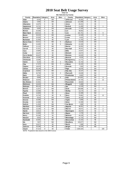**Chart 16 Site Selection by County**

| County          | Population Category |   | Area      | <b>Sites</b>   | County           | Population Category |                | Area      | <b>Sites</b>   |
|-----------------|---------------------|---|-----------|----------------|------------------|---------------------|----------------|-----------|----------------|
| Adair           | 8,243               | E | SW        |                | Jefferson        | 16,181              | E              | <b>SE</b> |                |
| <b>Adams</b>    | 4,482               | E | SW        |                | Johnson          | 111,006             | $\overline{c}$ | <b>SE</b> |                |
| Allamakee       | 14,675              | E | <b>NE</b> |                | Jones            | 20,221              | E              | <b>SE</b> |                |
| Appanoose       | 13,721              | E | <b>SE</b> |                | Keokuk           | 11,400              | E              | <b>SE</b> | 1              |
| Audubon         | 6.830               | E | SW        |                | Kossuth          | 17,163              | E              | <b>NW</b> |                |
| Benton          | 25,308              | E | <b>NE</b> |                | Lee              | 38,052              | D              | <b>SE</b> |                |
| Black Hawk      | 128,012             | B | <b>NE</b> |                | Linn             | 191,701             | B              | <b>NE</b> | 9              |
| Boone           | 26,224              | D | <b>NW</b> |                | Louisa           | 12,183              | E              | <b>SE</b> | 3              |
| Bremer          | 23,325              | B | <b>NE</b> |                | Lucas            | 9,422               | Ē              | <b>SE</b> |                |
| <b>Buchanan</b> | 21,093              | E | <b>NE</b> |                | Lyon             | 11,763              | E              | <b>NW</b> |                |
| Buena Vista     | 20,411              | E | <b>NW</b> | 5              | Madison          | 14,019              | E              | SW        |                |
| <b>Butler</b>   | 15,305              | E | <b>NE</b> | 5              | Mahaska          | 22,335              | E              | <b>SE</b> |                |
| Calhoun         | 11,115              | E | <b>NW</b> |                | <b>Marion</b>    | 32,052              | D              | <b>SE</b> |                |
| Carroll         | 21,421              | Ε | <b>NE</b> |                | <b>Marshall</b>  | 39,311              | D              | <b>NE</b> |                |
| Cass            | 14,684              | E | SW        |                | Mills            | 14.547              | E              | SW        |                |
| Cedar           | 18,187              | Ε | <b>SE</b> |                | Mitchell         | 10,874              | E              | <b>NE</b> |                |
| Cerro Gordo     | 46,447              | D | <b>NE</b> |                | Monona           | 10,020              | E              | <b>NW</b> |                |
| Cherokee        | 13,035              | E | <b>NW</b> |                | Monroe           | 8,016               | E              | <b>SE</b> |                |
| Chickasaw       | 13,095              | E | <b>NE</b> |                | Montgomery       | 11,771              | E              | SW        |                |
| Clarke          | 9.133               | E | SW        | $\overline{2}$ | <b>Muscatine</b> | 41,722              | E              | <b>SE</b> |                |
| Clay            | 17,372              | E | <b>NW</b> | $\overline{7}$ | O'Brien          | 15,102              | E              | <b>NW</b> |                |
| Clayton         | 18,678              | E | <b>NE</b> |                | Osceola          | 7,003               | E              | <b>NW</b> |                |
| Clinton         | 50,149              | D | <b>SE</b> |                | Page             | 16,976              | E              | SW        |                |
| Crawford        | 16,942              | Ē | <b>NW</b> |                | Palo Alto        | 10,147              | E              | <b>NW</b> |                |
| Dallas          | 40,750              | Α | SW        | $\overline{2}$ | <b>Plymouth</b>  | 24,849              | E              | <b>NW</b> |                |
| Davis           | 8,541               | E | <b>SE</b> |                | Pocahontas       | 8,662               | E              | <b>NW</b> |                |
| <b>Decatur</b>  | 8,689               | E | SW        | 6              | Polk             | 374,601             | A              | SW        | 9              |
| Delaw are       | 18,404              | E | <b>NE</b> |                | Pottaw attamie   | 87,704              | $\overline{c}$ | SW        | 12             |
| Des Moines      | 42,351              | D | <b>SE</b> |                | Poweshiek        | 18,815              | E              | <b>SE</b> |                |
| Dickinson       | 16,424              | E | <b>NW</b> |                | Ringgold         | 5,469               | E              | SW        |                |
| Dubuque         | 89.143              | C | <b>NE</b> |                | Sac              | 11,529              | E              | <b>NW</b> |                |
| Emmet           | 11,027              | E | <b>NW</b> |                | Scott            | 158,668             | B              | <b>SE</b> | 8              |
| Fayette         | 22,008              | D | <b>NE</b> |                | Shelby           | 13,173              | E              | SW        |                |
| Floyd           | 16,900              | E | <b>NE</b> |                | Sioux            | 31,589              | D              | <b>NW</b> |                |
| Franklin        | 10,704              | E | <b>NE</b> | 6              | Story            | 79,981              | D              | <b>NW</b> | 12             |
| Fremont         | 8,010               | E | SW        |                | Tama             | 18,103              | E              | <b>NE</b> |                |
| Greene          | 10,366              | E | <b>NW</b> |                | <b>Taylor</b>    | 6,958               | E              | SW        |                |
| Grundy          | 12,369              | E | <b>NE</b> |                | <b>Union</b>     | 12,309              | E              | SW        |                |
| Guthrie         | 11,353              | E | <b>NW</b> |                | Van Buren        | 7,809               | E              | SE        |                |
| Ham ilton       | 16,438              | E | <b>NW</b> |                | Wapello          | 36,051              | D              | <b>SE</b> | 7              |
| Hancock         | 12,100              | E | <b>NW</b> |                | Warren           | 40,671              | Α              | SW        | $\overline{2}$ |
| <b>Hardin</b>   | 18,812              | Ε | <b>NE</b> |                | Washington       | 20,670              | E              | <b>SE</b> | 4              |
| Harrison        | 15,666              | E | SW        |                | Wayne            | 6,730               | E              | <b>SE</b> |                |
| Henry           | 20,336              | E | <b>SE</b> |                | Webster          | 40,235              | D              | <b>NW</b> |                |
| Howard          | 9,932               | E | <b>NE</b> |                | Winnebago        | 11,723              | E              | <b>NW</b> |                |
| Hum boldt       | 10,381              | E | <b>NW</b> |                | Winneshiek       | 21,310              | E              | <b>NE</b> |                |
| Ida             | 7,837               | E | <b>NW</b> |                | Woodbury         | 103,877             | C              | <b>NW</b> |                |
| low a           | 15,671              | E | <b>SE</b> |                | Worth            | 7,909               | E              | <b>NE</b> |                |
| Jackson         | 20,296              | E | <b>NE</b> |                | Wright           | 14,334              | E              | <b>NW</b> |                |
| Jasper          | 37,213              | D | <b>SE</b> |                | <b>Totals</b>    | 2,926,324           |                |           | 100            |
|                 |                     |   |           |                |                  |                     |                |           |                |

**NOTE: Population data based on the 2000 Census**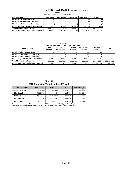#### **Chart 17 2010 Seat Belt Usage Survey**

**Site Selection by Area of State**

| <b>Area of State</b>                        | <b>Northeast</b> | Southeast       |           | Northwest   Southwest | <b>Totals</b>   |
|---------------------------------------------|------------------|-----------------|-----------|-----------------------|-----------------|
| <b>Number of Selected Sites</b>             | 20 <sup>1</sup>  | 23              | 24        | 33                    | 100             |
| <b>Number of Possible Counties</b>          | 25 <sub>1</sub>  | 25 <sub>1</sub> | 29        | <b>20</b>             | 99              |
| <b>Number of Selected Counties</b>          |                  |                 |           |                       | 17 <sup>1</sup> |
| <b>Percentage of Counties Selected</b>      | 12.00%           | 16.00%          | $10.34\%$ | 30.00%                | 17.17%          |
| <b>Total Population in Area</b>             | 835.135          | 777.502         | 599.002   | 714.685               | 2.926.324.00    |
| <b>Percentage of Total State Population</b> | 28.54%           | 26.57%          | 20.47%    | 24.42%                | 100.00%         |

**Chart 18**

| Site Selection by Population Category  |                     |                         |                            |                           |                   |                 |  |  |  |
|----------------------------------------|---------------------|-------------------------|----------------------------|---------------------------|-------------------|-----------------|--|--|--|
| <b>Area of State</b>                   | A - Over<br>200.000 | B-150.000<br>to 200,000 | $C - 75.000$<br>to 150,000 | $D - 25.000$<br>to 75,000 | E-Under<br>25.000 | Total           |  |  |  |
| Number of Selected Sites               | 13                  |                         |                            | 19 <sub>1</sub>           | 39                | 61              |  |  |  |
| Number of Possible Counties            |                     |                         |                            | 13.                       | 75                | 24 <sup>1</sup> |  |  |  |
| Number of Selected Counties            |                     |                         |                            |                           |                   | 17              |  |  |  |
| <b>Percentage of Counties Selected</b> | $3.00\%$            | 2.00%                   | 1.00%                      | 2.00%                     | $9.00\%$          | 17.00%          |  |  |  |
| <b>Total Population in Area</b>        | 456.022             | 501.706                 | 391.730                    | 521.663                   | 1.055.203         | 2,926,324.00    |  |  |  |
| Percentage of Total State Population   | 15.58%              | 17.14%                  | 13.39%                     | 17.83%                    | 36.06%            | 100.00%         |  |  |  |

**Chart 19 2009 Statewide Vehicle Miles of Travel**

| <b>Vehicle Miles</b>   | <b>Municipal</b> | <b>Rural</b> | <b>Total</b> | Percentage |
|------------------------|------------------|--------------|--------------|------------|
| <b>Statewide Total</b> | 12,887,563       | 18,407,172   | 31,294,735   | 100.00%    |
| <b>Municipal</b>       | 6,821,926        | NA.          | 6,821,926    | 21.80%     |
| Primary                | 3,607,515        | 8,040,474    | 11.647.989   | 37.22%     |
| Secondary              | <b>NA</b>        | 5,333,610    | 5,333,610    | 17.04%     |
| <b>Interstate</b>      | 2,458,122        | 5,033,088    | 7,491,210    | 23.94%     |

**NOTE:** Vehicle miles of travel reported in 1,000,000 and provided by the lowa Dept. of Transportation's Office of Transportation Data & counts only cars, pickups, vans & SUVs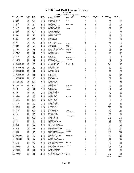# **Chart 20 2010 Seat Belt Usage Survey**

|  | -------- |                             |  |
|--|----------|-----------------------------|--|
|  |          | pril Seat Relt Survey Sites |  |

|                              |                              |                        |                   |                             |                                           | <b>April Seat Belt Survey Sites</b> |             |                |                      |                |
|------------------------------|------------------------------|------------------------|-------------------|-----------------------------|-------------------------------------------|-------------------------------------|-------------|----------------|----------------------|----------------|
| Νo                           | County                       | Area                   | Day               | Time                        | Location                                  | City                                | Population  | System         | Observed             | <b>Belted</b>  |
| ำ                            | Polk                         | <b>SW</b>              | WED               | 6 PM                        | Aurora @ Beaver                           | Des Moines                          | А           | м              | 353                  | 314<br>34      |
| $\overline{\mathbf{c}}$<br>3 | Story<br>Story               | <b>NW</b><br><b>NW</b> | <b>SUN</b><br>WED | 12 PM<br>1 PM               | 6th @ Grand<br>Duff Exit @ Hwy 30         | Ames<br>Ames                        | D<br>D      | м<br>P         | 47<br>157            | 135            |
| 4                            | Story                        | <b>NW</b>              | THU               | 7 AM                        | E23 @ Hwy 69                              |                                     | D           | S              | 71                   | 66             |
| 5                            | Story                        | <b>NW</b>              | <b>SUN</b>        | 10<br>AM                    | E63 @ Hwy 65                              |                                     | D           | s              | 12                   | 12             |
| 6                            | Polk                         | SW                     | THU               | 9<br>AM                     | 7th & Grand                               | Des Moines                          | Α           | М              | 339                  | 313            |
| 7                            | Story                        | <b>NW</b>              | THU               | 9<br>AM                     | Hwy 133 @ Hwy 30                          |                                     | D           | P              | 112                  | 106            |
| 8                            | Dallas                       | SW                     | FRI               | 10<br>AM                    | Hwy 141 @ Hwy 210                         |                                     | А           | P              | 33                   | 31             |
| 9                            | Polk                         | SW                     | <b>MON</b>        | 3<br><b>PM</b>              | Hwy 160 @ Hwy 69                          | Ankeny                              | А           | P              | 222                  | 174            |
| 10                           | Story                        | <b>NW</b>              | WED               | 2<br>PM                     | Hwy 210 @ Hwy 65                          |                                     | D           | P              | 19                   | 15             |
| 11                           | Story                        | <b>NW</b>              | WED               | 8<br>PM                     | Hwy 210 @ Hwy 69                          |                                     | D           | P              | 136                  | 130            |
| 12                           | Story                        | NW                     | THU               | PM<br>1                     | Hwy 65 @ Hwy 30                           |                                     | D           | P              | 38                   | 35             |
| 13                           | Polk                         | SW                     | THU               | 11 AM                       | Hwy 945 @ Hwy 931                         |                                     | А           | Р              | 19                   | 18             |
| 14                           | Story                        | <b>NW</b>              | THU               | 7 AM                        | I-35 Exit #123                            |                                     | D           |                | 23                   | 21             |
| 15                           | Polk                         | SW                     | <b>MON</b>        | PM<br>-1                    | I-35 Exit #92                             |                                     | A           |                | 108                  | 90             |
| 16                           | Polk                         | SW                     | SUN               | AM<br>8                     | I-35 Rest Area                            |                                     | Α           |                | 20                   | 19             |
| 17                           | Story                        | <b>NW</b>              | WED               | 4<br>PM                     | I-35 Rest Area                            |                                     | D           |                | 22                   | 19             |
| 18                           | Dallas                       | SW<br>SW               | THU               | <b>PM</b><br>5              | I-80 Exit #110                            |                                     | Α           | ı<br>-1        | 295                  | 283            |
| 19                           | Polk                         | SW                     | THU<br><b>FRI</b> | 3<br><b>PM</b><br>PM        | I-80 Exit # 143<br>Indianola Ave @ SE 8th |                                     | Α           |                | 199                  | 177<br>179     |
| 20<br>21                     | Polk<br>Story                | <b>NW</b>              | <b>FRI</b>        | 12<br>8<br>AM               | J Ave. @ 6th                              | Des Moines<br>Nevada                | Α<br>D      | м<br>м         | 190<br>72            | 65             |
| 22                           | Story                        | <b>NW</b>              | THU               | 9<br>AM                     | Main @ Clark                              | Ames                                | D           | М              | 96                   | 79             |
| 23                           | Polk                         | SW                     | WED               | з<br><b>PM</b>              | Meredith @ Merle Hay                      | Des Moines                          | Α           | м              | 524                  | 454            |
| 24                           | Clarke                       | SW                     | TUE               | 8<br>AM                     | E Washington @ Main St                    | Osceola                             | Е           | M              | 43                   | 39             |
| 25                           | Decat ur                     | SW                     | SAT               | PM<br>1                     | J 12 @ Hwy 69                             | Weldon                              | Е           | P              | 24                   | 24             |
| 26                           | Warren                       | SW                     | TUE               | 3 PM                        | Hwy 28 @ Hwy 92                           | M artensdale                        | Α           | P              | 189                  | 183            |
| 27                           | Clarke                       | SW                     | TUE               | 1 PM                        | Hwy 34 @ Hwy 69                           |                                     | Е           | P              | 230                  | 204            |
| 28                           | Decat ur                     | SW                     | TUE               | 4 PM                        | I-35 Exit #12                             |                                     | Е           | ш              | 77                   | 77             |
| 29                           | Decatur                      | sw                     | SAT               | 8<br>AM                     | I-35 Exit #22                             |                                     | Е           | ш              | 13                   | 8              |
| 30                           | Decat ur                     | SW                     | TUE               | 2<br>PM                     | J 20 @ R69                                | Garden Grove                        | Е           | s              | 6                    | 5              |
| 31                           | Decat ur                     | SW                     | TUE               | <b>PM</b><br>5              | J 66 @ Hwy 69                             | Davis City                          | Е           | s              | 13                   | 12             |
| 32                           | Warren                       | SW                     | TUE               | <b>PM</b><br>6              | R 57 @ Hwy 92                             |                                     | Α           | S              | 78                   | 75             |
| 33                           | Decat ur                     | SW                     | SAT               | 10<br>AM                    | West Jct. Hwy 69 @ Hwy 2                  | Leon                                | Е           | P              | 48                   | 40             |
| 34                           | Pottawattamie                | SW                     | TUE               | 10<br>AM                    | 9th Ave. @ S 16th                         | Council Bluffs                      | C           | м              | 206                  | 186            |
| 35                           | Pottawattamie                | SW                     | SAT               | 12<br>PM                    | A Ave & 25th St                           | Council Bluffs                      | C           | м              | 387                  | 346            |
| 36                           | Pottawattamie                | SW                     | TUE               | AM<br>8                     | Hwy 191 @ Hwy 83                          |                                     | C           | P              | 55                   | 52             |
| 37                           | Pottawattamie                | SW                     | <b>SAT</b>        | 8<br>AM                     | Hwy 6 @ Hwy 191                           |                                     | C           | P              | 131                  | 124            |
| 38                           | Pottawattamie                | SW                     | TUE               | 12<br><b>PM</b>             | Hwy 6 @ Hwy 59                            |                                     | C           | P              | 65                   | 63             |
| 39                           | Pottawattamie                | SW                     | <b>SUN</b>        | 4<br><b>PM</b>              | Hwy 83 @ Hwy 59                           |                                     | $\mathbf C$ | P              | 90                   | 85             |
| 40                           | Pottawattamie                | SW                     | TUE               | 10<br>AM                    | Hwy 92 @ Hwy 59                           |                                     | С           | P              | 116                  | 105            |
| 41                           | Pottawattamie                | SW                     | TUE               | <b>PM</b><br>12             | $I-29$ Exit #47                           |                                     | С           | $\blacksquare$ | 83                   | 80             |
| 42                           | Pottawattamie                | SW                     | SUN               | PM<br>6                     | I-80 Exit #40                             |                                     | $\mathbf C$ | J.             | 112                  | 106            |
| 43                           | Pottawattamie                | sw                     | <b>SUN</b>        | <b>PM</b><br>2              | I-80 Rest Area                            |                                     | C<br>C      | -1             | 144                  | 136            |
| 44<br>45                     | Pottawattamie                | sw                     | TUE               | 8<br>AM<br>AM               | L 55 @ Hwy 6                              |                                     | C           | s              | 23<br>27             | 23             |
|                              | Pottawattamie<br>Buena Vista | SW<br><b>NW</b>        | SAT<br><b>MON</b> | 10 <sup>°</sup><br>9<br>AM  | M 16 @ Hwy 92<br>C 49 @ Hwy 71            |                                     | Е           | s<br>s         |                      | 26<br>48       |
| 46<br>47                     | Buena Vista                  | <b>NW</b>              | WED               | з<br>PM                     | Hwy 110 @ Hwy 7                           |                                     | Е           | P              | 48<br>43             | 40             |
| 48                           | Buena Vista                  | <b>NW</b>              | WED               | 5<br><b>PM</b>              | Hwy 7 @ Hwy 71                            |                                     | Е           | P              | 60                   | 53             |
| 49                           | Buena Vista                  | <b>NW</b>              | <b>MON</b>        | 11<br>AM                    | Hwy 7 @ Hwy 71                            |                                     | Е           | P              | 21                   | 21             |
| 50                           | Buena Vista                  | <b>NW</b>              | WED               | PM<br>-1                    | Lake @ Third                              | Storm Lake                          | Е           | м              | 70                   | 68             |
| 51                           | Clay                         | NW                     | SAT               | 5 PM                        | 4th @ Grand                               | Spencer                             | Е           | М              | 314                  | 291            |
| 52                           | Clay                         | <b>NW</b>              | SUN               | 5 PM                        | B 53 @ Hwy 71                             |                                     | Е           | s              | 15                   | 15             |
| 53                           | Clay                         | <b>NW</b>              | <b>SUN</b>        | 1 PM                        | Grand @ 18th                              | Spencer                             | Е           | м              | 308                  | 288            |
| 54                           | Clay                         | <b>NW</b>              | <b>SUN</b>        | 3 PM                        | Hwy 10 @ Hwy 71                           |                                     | Е           | P              | 48                   | 46             |
| 55                           | Clay                         | <b>NW</b>              | <b>SAT</b>        | PM<br>1                     | Hwy 18 @ Hwy 71                           |                                     | Е           | P              | 98                   | 97             |
| 56                           | Clay                         | <b>NW</b>              | <b>SAT</b>        | 3<br><b>PM</b>              | B40 @ Hwy 71                              |                                     | Е           | P              | 34                   | 33             |
| 57                           | Clay                         | <b>NW</b>              | <b>SUN</b>        | 2<br><b>PM</b>              | N 14 @ Hwy 18                             |                                     | Е           | S              | 35                   | 34             |
| 58                           | Franklin                     | <b>NE</b>              | <b>FRI</b>        | 9<br>AM                     | 1st @ 1st Ave                             | Hampton                             | Е           | M              | 122                  | 81             |
| 59                           | Franklin                     | NE                     | TUE               | 11<br>AM                    | C 25 @ Hwy 65                             |                                     | Е           | s              | 30                   | 26             |
| 60                           | <b>Butler</b>                | <b>NE</b>              | WED               | 7<br>AM                     | C 55 @ Hwy 14                             |                                     | Е           | S              | з                    | $\mathbf{1}$   |
| 61                           | Franklin                     | <b>NE</b>              | WED               | 9<br>AM                     | S14 & Hwy 107                             |                                     | Ε           | P              | 18                   | 16             |
| 62                           | <b>Butler</b>                | <b>NE</b>              | WED               | 3<br><b>PM</b>              | Hwy 14 @ Hwy 20                           |                                     | Е           | P              | 72                   | 51             |
| 63                           | Butler                       | <b>NE</b>              | FRI               | 11<br>AM                    | Hwy 14 @ Hwy 3                            |                                     | Е           | P              | 54                   | 41             |
| 64                           | Butler                       | NE                     | TUE               | 9<br>AM                     | Hwy 188 @ Hwy 3                           |                                     | Е           | P              | 59                   | 47             |
| 65<br>66                     | Franklin<br>Franklin         | <b>NE</b><br><b>NE</b> | TUE<br>WED        | 7<br>AM<br>11<br>AM         | Hwy 65 @ Hwy 3                            |                                     | Е<br>Е      | P              | 220                  | 153<br>31      |
| 67                           | Franklin                     | <b>NE</b>              | FRI               | 7<br>AM                     | I-35 Exit #165<br>I-35 Exit #170          |                                     | Е           |                | 35<br>$\overline{7}$ | $\overline{7}$ |
| 68                           | Butler                       | <b>NE</b>              | WED               | 5 PM                        | Main @ Railroad                           | Allison                             | Е           | м              | 150                  | 91             |
|                              | 69 Linn                      | NE                     | WED               | 9<br>AM                     | 8th Ave @ 2nd                             | Cedar Rapids                        | в           | м              | 255                  | 232            |
| 70                           | Linn                         | <b>NE</b>              | <b>SUN</b>        | 4 PM                        | E 34 @ Hwy 13                             |                                     | в           | S              | 164                  | 159            |
| 71                           | Linn                         | <b>NE</b>              | SAT               | 3<br>PM                     | E 70 @ Hwy 151                            |                                     | в           | S              | 76                   | 73             |
| 72                           | Linn                         | NE                     | <b>SUN</b>        | 2<br>PM                     | First Ave @ 29th                          | Cedar Rapids                        | в           | м              | 358                  | 332            |
| 73                           | Linn                         | <b>NE</b>              | WED               | 11<br>AM                    | Hwy 1 @ Hwy 30                            |                                     | в           | P              | 163                  | 154            |
| 74                           | Linn                         | <b>NE</b>              | <b>SUN</b>        | <b>PM</b><br>6              | Hwy 13 @ Hwy 151                          |                                     | в           | P              | 294                  | 279            |
| 75                           | Linn                         | <b>NE</b>              | <b>SAT</b>        | <b>PM</b><br>-1             | Hwy 30 @ Hwy 1                            |                                     | в           | P              | 310                  | 296            |
| 76                           | Linn                         | <b>NE</b>              | SAT               | 5 PM                        | I-380 Mile Marker 13                      |                                     | B           | $\mathbf{I}$   | 252                  | 244            |
| 77                           | Linn                         | <b>NE</b>              | WED               | 7<br>AM                     | I-380 Mile Marker 25                      |                                     | B           | $\mathbf{I}$   | 106                  | 102            |
| 78                           | Scott                        | <b>SE</b>              | <b>MON</b>        | 4<br>PM                     | F 55 Exit @ Hwy 61                        |                                     | в           | P              | 71                   | 65             |
| 79                           | Scott                        | <b>SE</b>              | <b>SUN</b>        | 4 PM                        | Hwy 61 @ Hwy 22 Ramp                      |                                     | в           | P              | 47                   | 42             |
| 80                           | Scott                        | <b>SE</b>              | <b>MON</b>        | 6<br>PM                     | I-280 Hwy 61 Exit                         |                                     | в           | -1             | 192                  | 183            |
| 81                           | Scott                        | <b>SE</b>              | <b>SUN</b>        | 6<br><b>PM</b>              | I-80 Exit #284 (Y40)                      |                                     | в           | J.             | 130                  | 124            |
| 82                           | Scott                        | <b>SE</b>              | <b>MON</b>        | 2<br><b>PM</b>              | Kimberly @ Harrison                       | Davenport                           | в           | м              | 326                  | 304            |
| 83                           | Scott                        | <b>SE</b>              | TUE               | 4<br>PM                     | Locust @ Brady                            | Davenport                           | в           | м              | 542                  | 502            |
| 84                           | Scott                        | <b>SE</b>              | THU               | PM<br>6                     | Long Grove Exit @ Hwy 61                  |                                     | в           | P              | 200                  | 190            |
| 85<br>86                     | Scott                        | <b>SE</b><br>SE        | SUN<br><b>FRI</b> | 2<br>PM<br>4<br>PM          | Y 48 @ Hwy 61                             | Washington                          | В<br>Е      | S              | 224<br>146           | 208<br>134     |
| 87                           | Washington                   | <b>SE</b>              | <b>FRI</b>        | $\overline{2}$<br><b>PM</b> | East 7th @ North 4th<br>G6W @ Hwy 92      |                                     | Е           | м<br>s         | 45                   | 43             |
|                              | Washington<br>Washington     | <b>SE</b>              | <b>SAT</b>        | 8<br>AM                     | Hwy 1 @ Hwy 92                            |                                     | Ε           | P              | 113                  | 108            |
| 88<br>89                     | Washington                   | <b>SE</b>              | TUE               | 9<br>AM                     | Hwy 218 Ramp @ Hwy 92                     |                                     | Е           | P              | 85                   | 85             |
| 90                           | Louisa                       | <b>SE</b>              | SAT               | 12<br>PM                    | Hwy 92 @ Hwy 61                           |                                     | Е           | P              | 206                  | 199            |
| 91                           | Louisa                       | <b>SE</b>              | <b>SAT</b>        | 10<br>AM                    | South 4th @ Washington                    | Wapello                             | Е           | м              | 72                   | 60             |
| 92                           | Louisa                       | <b>SE</b>              | <b>FRI</b>        | 6<br><b>PM</b>              | X 43 @ Hwy 92                             |                                     | Ε           | s              | 32                   | 32             |
| 93                           | Wapello                      | <b>SE</b>              | <b>SAT</b>        | PM<br>4                     | Church @ Richmond                         | Ottumwa                             | D           | м              | 235                  | 210            |
| 94                           | Wapello                      | <b>SE</b>              | SAT               | PM<br>6                     | East Jct Hwy 34 & Hwy 63                  |                                     | D           | P              | 227                  | 219            |
| 95                           | Wapello                      | <b>SE</b>              | TUE               | 8<br>AM                     | Hwy 137@ Hwy 63                           |                                     | D           | P              | 105                  | 93             |
| 96                           | Keokuk                       | <b>SE</b>              | <b>SUN</b>        | 12<br><b>PM</b>             | Hwy 149 @ Hwy 23                          |                                     | D           | P              | 102                  | 96             |
| 97                           | Wapello                      | <b>SE</b>              | <b>SUN</b>        | 8<br>AM                     | Hwy 16 @ Hwy 34                           |                                     | D           | P              | 46                   | 45             |
| 98                           | Wapello                      | <b>SE</b>              | SUN               | 10<br>AM                    | T 61 @ Hwy 34                             |                                     | D           | s              | 82                   | 80             |
| 99                           | Wapello                      | <b>SE</b>              | TUE               | 10<br>AM                    | V 37 (College St) @ Hwy 34 Agency         |                                     | D           | s              | 71                   | 63             |
|                              | 100 Wapello                  | <b>SE</b>              | TUE               | 12 PM                       | Wapello St @ Albia Rd                     | Ottumwa                             | Е           | м              | 234                  | 210            |
|                              |                              |                        |                   |                             |                                           |                                     |             |                | 12,642               | 11,513         |